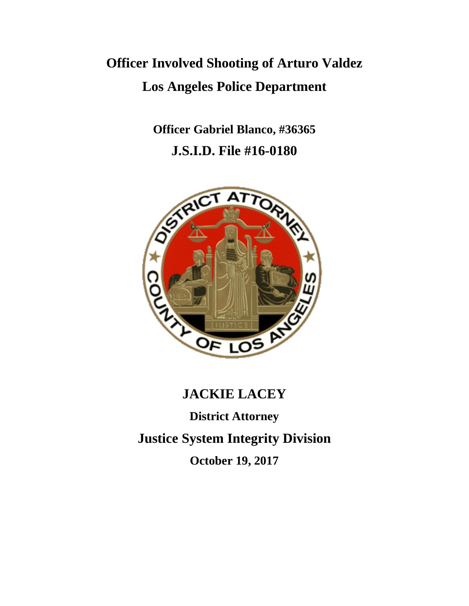# **Officer Involved Shooting of Arturo Valdez Los Angeles Police Department**

**Officer Gabriel Blanco, #36365 J.S.I.D. File #16-0180**



## **JACKIE LACEY**

**District Attorney Justice System Integrity Division October 19, 2017**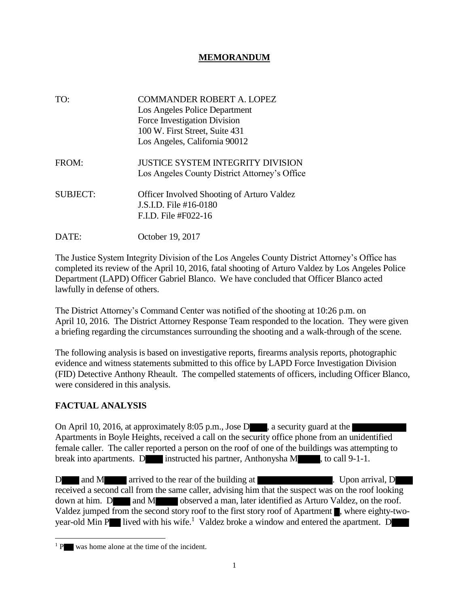#### **MEMORANDUM**

TO: COMMANDER ROBERT A. LOPEZ Los Angeles Police Department Force Investigation Division 100 W. First Street, Suite 431 Los Angeles, California 90012 FROM: **JUSTICE SYSTEM INTEGRITY DIVISION** Los Angeles County District Attorney's Office SUBJECT: Officer Involved Shooting of Arturo Valdez J.S.I.D. File #16-0180 F.I.D. File #F022-16 DATE: October 19, 2017

The Justice System Integrity Division of the Los Angeles County District Attorney's Office has completed its review of the April 10, 2016, fatal shooting of Arturo Valdez by Los Angeles Police Department (LAPD) Officer Gabriel Blanco. We have concluded that Officer Blanco acted lawfully in defense of others.

The District Attorney's Command Center was notified of the shooting at 10:26 p.m. on April 10, 2016. The District Attorney Response Team responded to the location. They were given a briefing regarding the circumstances surrounding the shooting and a walk-through of the scene.

The following analysis is based on investigative reports, firearms analysis reports, photographic evidence and witness statements submitted to this office by LAPD Force Investigation Division (FID) Detective Anthony Rheault. The compelled statements of officers, including Officer Blanco, were considered in this analysis.

#### **FACTUAL ANALYSIS**

l

On April 10, 2016, at approximately 8:05 p.m., Jose D , a security guard at the Apartments in Boyle Heights, received a call on the security office phone from an unidentified female caller. The caller reported a person on the roof of one of the buildings was attempting to break into apartments. D instructed his partner, Anthonysha M , to call 9-1-1.

D and M arrived to the rear of the building at . Upon arrival, D received a second call from the same caller, advising him that the suspect was on the roof looking down at him. D and M observed a man, later identified as Arturo Valdez, on the roof. Valdez jumped from the second story roof to the first story roof of Apartment , where eighty-twoyear-old Min P lived with his wife.<sup>1</sup> Valdez broke a window and entered the apartment. D

<sup>&</sup>lt;sup>1</sup> P was home alone at the time of the incident.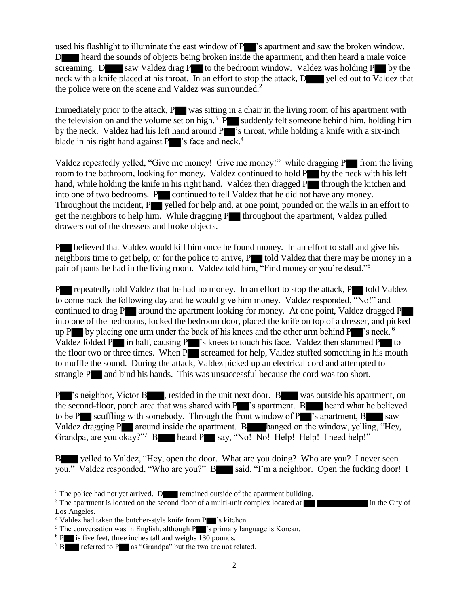used his flashlight to illuminate the east window of P<sup>3</sup> s apartment and saw the broken window. D heard the sounds of objects being broken inside the apartment, and then heard a male voice screaming. D saw Valdez drag P to the bedroom window. Valdez was holding  $P$  by the neck with a knife placed at his throat. In an effort to stop the attack, D yelled out to Valdez that the police were on the scene and Valdez was surrounded.<sup>2</sup>

Immediately prior to the attack,  $P$  was sitting in a chair in the living room of his apartment with the television on and the volume set on high.<sup>3</sup> P suddenly felt someone behind him, holding him by the neck. Valdez had his left hand around P 's throat, while holding a knife with a six-inch blade in his right hand against  $P$  's face and neck.<sup>4</sup>

Valdez repeatedly yelled, "Give me money! Give me money!" while dragging P from the living room to the bathroom, looking for money. Valdez continued to hold P by the neck with his left hand, while holding the knife in his right hand. Valdez then dragged  $P$  through the kitchen and into one of two bedrooms. Portuned to tell Valdez that he did not have any money. Throughout the incident, P yelled for help and, at one point, pounded on the walls in an effort to get the neighbors to help him. While dragging  $P$  throughout the apartment, Valdez pulled drawers out of the dressers and broke objects.

P believed that Valdez would kill him once he found money. In an effort to stall and give his neighbors time to get help, or for the police to arrive,  $P$  told Valdez that there may be money in a pair of pants he had in the living room. Valdez told him, "Find money or you're dead."<sup>5</sup>

P repeatedly told Valdez that he had no money. In an effort to stop the attack, P told Valdez to come back the following day and he would give him money. Valdez responded, "No!" and continued to drag P around the apartment looking for money. At one point, Valdez dragged P into one of the bedrooms, locked the bedroom door, placed the knife on top of a dresser, and picked up P by placing one arm under the back of his knees and the other arm behind P  $\triangleright$  's neck. <sup>6</sup> Valdez folded P $\blacksquare$  in half, causing P $\blacksquare$ 's knees to touch his face. Valdez then slammed P $\blacksquare$  to the floor two or three times. When  $P$  screamed for help, Valdez stuffed something in his mouth to muffle the sound. During the attack, Valdez picked up an electrical cord and attempted to strangle P and bind his hands. This was unsuccessful because the cord was too short.

P 's neighbor, Victor B , resided in the unit next door. B was outside his apartment, on the second-floor, porch area that was shared with  $P$  's apartment. B heard what he believed to be P scuffling with somebody. Through the front window of  $P$  's apartment,  $B$  saw Valdez dragging P around inside the apartment. B banged on the window, yelling, "Hey, Grandpa, are you okay?"<sup>7</sup> B heard P say, "No! No! Help! Help! I need help!"

B yelled to Valdez, "Hey, open the door. What are you doing? Who are you? I never seen you." Valdez responded, "Who are you?" B said, "I'm a neighbor. Open the fucking door! I

 $\overline{\phantom{a}}$ 

<sup>&</sup>lt;sup>2</sup> The police had not yet arrived. D remained outside of the apartment building.

<sup>&</sup>lt;sup>3</sup> The apartment is located on the second floor of a multi-unit complex located at in the City of Los Angeles.

<sup>&</sup>lt;sup>4</sup> Valdez had taken the butcher-style knife from P 's kitchen.

<sup>&</sup>lt;sup>5</sup> The conversation was in English, although P<sup>ort</sup>s primary language is Korean.

 $6$  P is five feet, three inches tall and weighs 130 pounds.

<sup>&</sup>lt;sup>7</sup> B referred to P as "Grandpa" but the two are not related.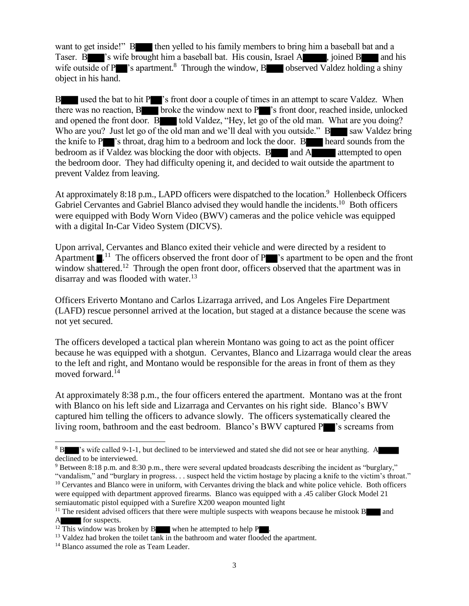want to get inside!" B then yelled to his family members to bring him a baseball bat and a Taser. B 's wife brought him a baseball bat. His cousin, Israel A , joined B and his wife outside of P $\blacksquare$ 's apartment.<sup>8</sup> Through the window, B $\blacksquare$  observed Valdez holding a shiny object in his hand.

B used the bat to hit P 's front door a couple of times in an attempt to scare Valdez. When there was no reaction,  $B$  broke the window next to  $P$  's front door, reached inside, unlocked and opened the front door. B told Valdez, "Hey, let  $\overline{go}$  of the old man. What are you doing? Who are you? Just let go of the old man and we'll deal with you outside."  $B$  saw Valdez bring the knife to P 's throat, drag him to a bedroom and lock the door. B heard sounds from the bedroom as if Valdez was blocking the door with objects. B and A attempted to open the bedroom door. They had difficulty opening it, and decided to wait outside the apartment to prevent Valdez from leaving.

At approximately 8:18 p.m., LAPD officers were dispatched to the location.<sup>9</sup> Hollenbeck Officers Gabriel Cervantes and Gabriel Blanco advised they would handle the incidents.<sup>10</sup> Both officers were equipped with Body Worn Video (BWV) cameras and the police vehicle was equipped with a digital In-Car Video System (DICVS).

Upon arrival, Cervantes and Blanco exited their vehicle and were directed by a resident to Apartment  $\blacksquare$ <sup>11</sup>. The officers observed the front door of P  $\blacksquare$ 's apartment to be open and the front window shattered.<sup>12</sup> Through the open front door, officers observed that the apartment was in disarray and was flooded with water.<sup>13</sup>

Officers Eriverto Montano and Carlos Lizarraga arrived, and Los Angeles Fire Department (LAFD) rescue personnel arrived at the location, but staged at a distance because the scene was not yet secured.

The officers developed a tactical plan wherein Montano was going to act as the point officer because he was equipped with a shotgun. Cervantes, Blanco and Lizarraga would clear the areas to the left and right, and Montano would be responsible for the areas in front of them as they moved forward.<sup>14</sup>

At approximately 8:38 p.m., the four officers entered the apartment. Montano was at the front with Blanco on his left side and Lizarraga and Cervantes on his right side. Blanco's BWV captured him telling the officers to advance slowly. The officers systematically cleared the living room, bathroom and the east bedroom. Blanco's BWV captured P 's screams from

 $\overline{a}$ 

<sup>&</sup>lt;sup>8</sup> B 's wife called 9-1-1, but declined to be interviewed and stated she did not see or hear anything. A declined to be interviewed.

<sup>9</sup> Between 8:18 p.m. and 8:30 p.m., there were several updated broadcasts describing the incident as "burglary,"

<sup>&</sup>quot;vandalism," and "burglary in progress. . . suspect held the victim hostage by placing a knife to the victim's throat." <sup>10</sup> Cervantes and Blanco were in uniform, with Cervantes driving the black and white police vehicle. Both officers were equipped with department approved firearms. Blanco was equipped with a .45 caliber Glock Model 21 semiautomatic pistol equipped with a Surefire X200 weapon mounted light

<sup>&</sup>lt;sup>11</sup> The resident advised officers that there were multiple suspects with weapons because he mistook  $B$  and for suspects.

<sup>&</sup>lt;sup>12</sup> This window was broken by B when he attempted to help P

<sup>&</sup>lt;sup>13</sup> Valdez had broken the toilet tank in the bathroom and water flooded the apartment.

<sup>&</sup>lt;sup>14</sup> Blanco assumed the role as Team Leader.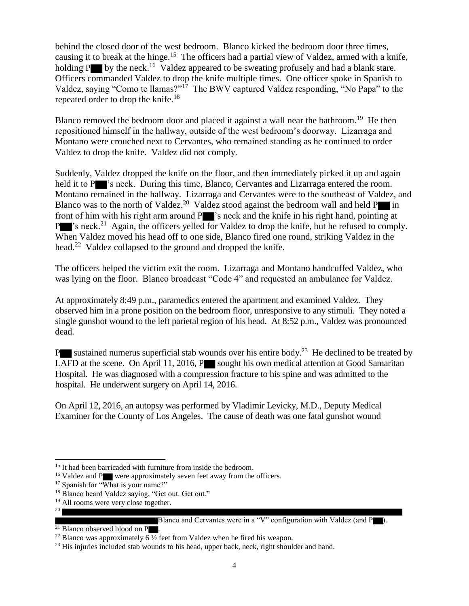behind the closed door of the west bedroom. Blanco kicked the bedroom door three times, causing it to break at the hinge.<sup>15</sup> The officers had a partial view of Valdez, armed with a knife, holding  $P$  by the neck.<sup>16</sup> Valdez appeared to be sweating profusely and had a blank stare. Officers commanded Valdez to drop the knife multiple times. One officer spoke in Spanish to Valdez, saying "Como te llamas?"<sup>17</sup> The BWV captured Valdez responding, "No Papa" to the repeated order to drop the knife.<sup>18</sup>

Blanco removed the bedroom door and placed it against a wall near the bathroom.<sup>19</sup> He then repositioned himself in the hallway, outside of the west bedroom's doorway. Lizarraga and Montano were crouched next to Cervantes, who remained standing as he continued to order Valdez to drop the knife. Valdez did not comply.

Suddenly, Valdez dropped the knife on the floor, and then immediately picked it up and again held it to P<sup>ol</sup>s neck. During this time, Blanco, Cervantes and Lizarraga entered the room. Montano remained in the hallway. Lizarraga and Cervantes were to the southeast of Valdez, and Blanco was to the north of Valdez.<sup>20</sup> Valdez stood against the bedroom wall and held  $P$  in front of him with his right arm around P  $\blacksquare$  's neck and the knife in his right hand, pointing at  $P$  's neck.<sup>21</sup> Again, the officers yelled for Valdez to drop the knife, but he refused to comply. When Valdez moved his head off to one side, Blanco fired one round, striking Valdez in the head.<sup>22</sup> Valdez collapsed to the ground and dropped the knife.

The officers helped the victim exit the room. Lizarraga and Montano handcuffed Valdez, who was lying on the floor. Blanco broadcast "Code 4" and requested an ambulance for Valdez.

At approximately 8:49 p.m., paramedics entered the apartment and examined Valdez. They observed him in a prone position on the bedroom floor, unresponsive to any stimuli. They noted a single gunshot wound to the left parietal region of his head. At 8:52 p.m., Valdez was pronounced dead.

P $\blacksquare$  sustained numerus superficial stab wounds over his entire body.<sup>23</sup> He declined to be treated by LAFD at the scene. On April 11, 2016, P sought his own medical attention at Good Samaritan Hospital. He was diagnosed with a compression fracture to his spine and was admitted to the hospital. He underwent surgery on April 14, 2016.

On April 12, 2016, an autopsy was performed by Vladimir Levicky, M.D., Deputy Medical Examiner for the County of Los Angeles. The cause of death was one fatal gunshot wound

 $\overline{\phantom{a}}$ 

<sup>&</sup>lt;sup>15</sup> It had been barricaded with furniture from inside the bedroom.

<sup>&</sup>lt;sup>16</sup> Valdez and P were approximately seven feet away from the officers.

<sup>&</sup>lt;sup>17</sup> Spanish for "What is your name?"

<sup>&</sup>lt;sup>18</sup> Blanco heard Valdez saying, "Get out. Get out."

<sup>&</sup>lt;sup>19</sup> All rooms were very close together. 20

Blanco and Cervantes were in a "V" configuration with Valdez (and P ).

 $^{21}$  Blanco observed blood on P

<sup>&</sup>lt;sup>22</sup> Blanco was approximately  $\overline{6 \frac{1}{2}}$  feet from Valdez when he fired his weapon.

 $23$  His injuries included stab wounds to his head, upper back, neck, right shoulder and hand.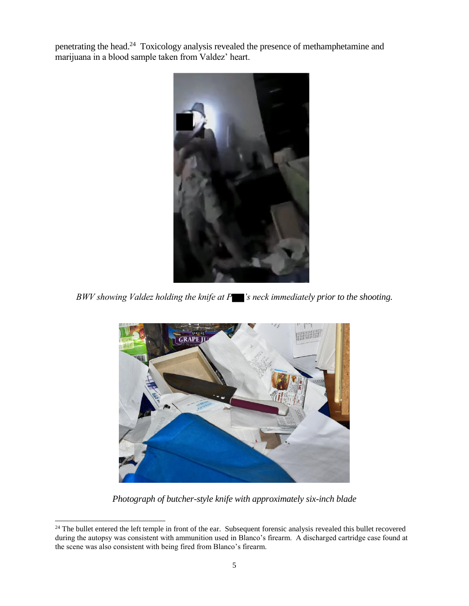penetrating the head.<sup>24</sup> Toxicology analysis revealed the presence of methamphetamine and marijuana in a blood sample taken from Valdez' heart.



*BWV showing Valdez holding the knife at P 's neck immediately prior to the shooting.*



*Photograph of butcher-style knife with approximately six-inch blade*

l

 $24$  The bullet entered the left temple in front of the ear. Subsequent forensic analysis revealed this bullet recovered during the autopsy was consistent with ammunition used in Blanco's firearm. A discharged cartridge case found at the scene was also consistent with being fired from Blanco's firearm.